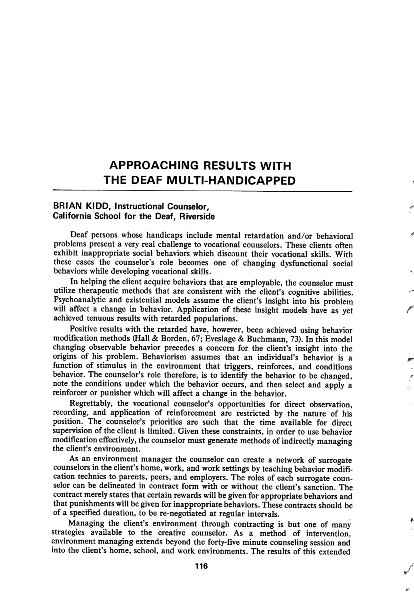## APPROACHING RESULTS WITH THE DEAF MULTI-HANDICAPPED

## BRIAN KIDD, Instructional Counselor, California School for the Deaf, Riverside

Deaf persons whose handicaps include mental retardation and/or behavioral problems present a very real challenge to vocational counselors. These clients often exhibit inappropriate social behaviors which discount their vocational skills. With these cases the counselor's role becomes one of changing dysfunctional social behaviors while developing vocational skills.

In helping the client acquire behaviors that are employable, the counselor must utilize therapeutic methods that are consistent with the client's cognitive abilities. Psychoanalytic and existential models assume the client's insight into his problem will affect a change in behavior. Application of these insight models have as yet achieved tenuous results with retarded populations.

Positive results with the retarded have, however, been achieved using behavior modification methods (Hall & Borden, 67; Eveslage & Buchmann, 73). In this model changing observable behavior precedes a concern for the client's insight into the origins of his problem. Behaviorism assumes that an individual's behavior is a function of stimulus in the environment that triggers, reinforces, and conditions behavior. The counselor's role therefore, is to identify the behavior to be changed, note the conditions under which the behavior occurs, and then select and apply a reinforcer or punisher which will affect a change in the behavior.

Regrettably, the vocational counselor's opportunities for direct observation, recording, and application of reinforcement are restricted by the nature of his position. The counselor's priorities are such that the time available for direct supervision of the client is limited. Given these constraints, in order to use behavior modification effectively, the counselor must generate methods of indirectly managing the client's environment.

As an environment manager the counselor can create a network of surrogate counselors in the client's home, work, and work settings by teaching behavior modifi cation technics to parents, peers, and employers. The roles of each surrogate coun selor can be delineated in contract form with or without the client's sanction. The contract merely states that certain rewards will be given for appropriate behaviors and that punishments will be given for inappropriate behaviors. These contracts should be of a specified duration, to be re-negotiated at regular intervals.

Managing the client's environment through contracting is but one of many strategies available to the creative counselor. As a method of intervention, environment managing extends beyond the forty-five minute counseling session and into the client's home, school, and work environments. The results of this extended